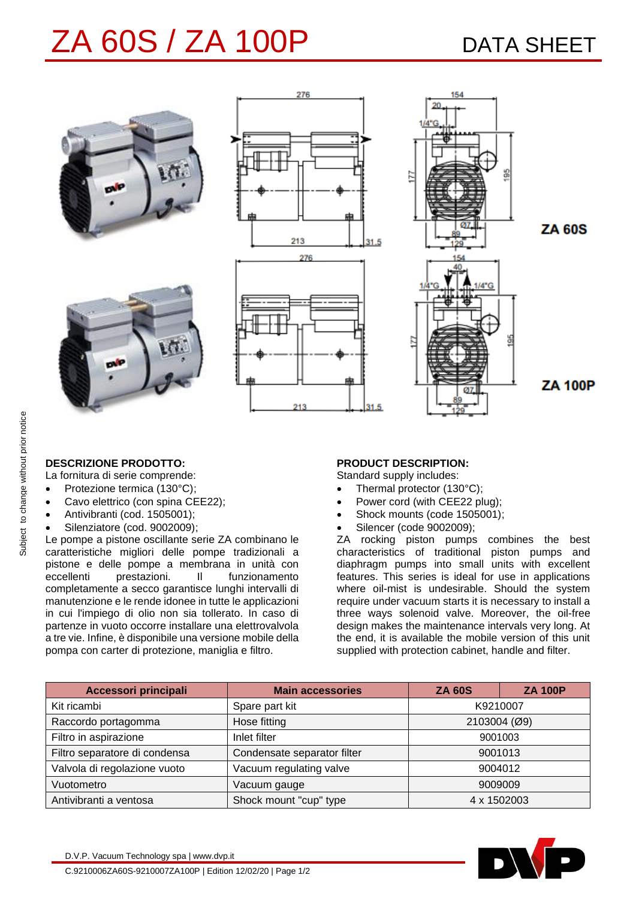# ZA 60S / ZA 100P DATA SHEET



### **DESCRIZIONE PRODOTTO:**

La fornitura di serie comprende:

- Protezione termica (130°C);
- Cavo elettrico (con spina CEE22);
- Antivibranti (cod. 1505001);
- Silenziatore (cod. 9002009);

Le pompe a pistone oscillante serie ZA combinano le caratteristiche migliori delle pompe tradizionali a pistone e delle pompe a membrana in unità con eccellenti prestazioni. Il funzionamento completamente a secco garantisce lunghi intervalli di manutenzione e le rende idonee in tutte le applicazioni in cui l'impiego di olio non sia tollerato. In caso di partenze in vuoto occorre installare una elettrovalvola a tre vie. Infine, è disponibile una versione mobile della pompa con carter di protezione, maniglia e filtro.

### **PRODUCT DESCRIPTION:**

Standard supply includes:

- Thermal protector (130°C);
- Power cord (with CEE22 plug);
- Shock mounts (code 1505001);
- Silencer (code 9002009);

ZA rocking piston pumps combines the best characteristics of traditional piston pumps and diaphragm pumps into small units with excellent features. This series is ideal for use in applications where oil-mist is undesirable. Should the system require under vacuum starts it is necessary to install a three ways solenoid valve. Moreover, the oil-free design makes the maintenance intervals very long. At the end, it is available the mobile version of this unit supplied with protection cabinet, handle and filter.

| Accessori principali          | <b>Main accessories</b>     | <b>ZA 60S</b> | <b>ZA 100P</b> |
|-------------------------------|-----------------------------|---------------|----------------|
| Kit ricambi                   | Spare part kit              | K9210007      |                |
| Raccordo portagomma           | Hose fitting                | 2103004 (Ø9)  |                |
| Filtro in aspirazione         | Inlet filter                | 9001003       |                |
| Filtro separatore di condensa | Condensate separator filter | 9001013       |                |
| Valvola di regolazione vuoto  | Vacuum regulating valve     | 9004012       |                |
| Vuotometro                    | Vacuum gauge                | 9009009       |                |
| Antivibranti a ventosa        | Shock mount "cup" type      | 4 x 1502003   |                |